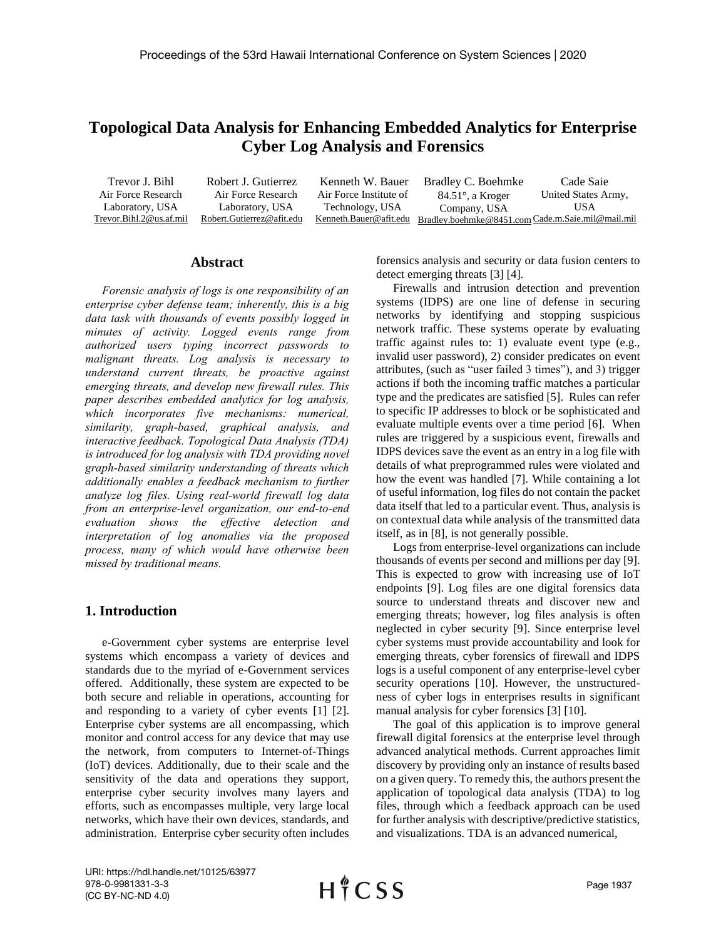# **Topological Data Analysis for Enhancing Embedded Analytics for Enterprise Cyber Log Analysis and Forensics**

Trevor J. Bihl Air Force Research Laboratory, USA Trevor.Bihl.2@us.af.mil Robert J. Gutierrez Air Force Research Laboratory, USA Robert.Gutierrez@afit.edu Kenneth W. Bauer Air Force Institute of Technology, USA Kenneth.Bauer@afit.edu Bradley.boehmke@8451.com Cade.m.Saie.mil@mail.mil Bradley C. Boehmke 84.51°, a Kroger Company, USA Cade Saie United States Army, USA

## **Abstract**

*Forensic analysis of logs is one responsibility of an enterprise cyber defense team; inherently, this is a big data task with thousands of events possibly logged in minutes of activity. Logged events range from authorized users typing incorrect passwords to malignant threats. Log analysis is necessary to understand current threats, be proactive against emerging threats, and develop new firewall rules. This paper describes embedded analytics for log analysis, which incorporates five mechanisms: numerical, similarity, graph-based, graphical analysis, and interactive feedback. Topological Data Analysis (TDA) is introduced for log analysis with TDA providing novel graph-based similarity understanding of threats which additionally enables a feedback mechanism to further analyze log files. Using real-world firewall log data from an enterprise-level organization, our end-to-end evaluation shows the effective detection and interpretation of log anomalies via the proposed process, many of which would have otherwise been missed by traditional means.* 

# **1. Introduction**

e-Government cyber systems are enterprise level systems which encompass a variety of devices and standards due to the myriad of e-Government services offered. Additionally, these system are expected to be both secure and reliable in operations, accounting for and responding to a variety of cyber events [1] [2]. Enterprise cyber systems are all encompassing, which monitor and control access for any device that may use the network, from computers to Internet-of-Things (IoT) devices. Additionally, due to their scale and the sensitivity of the data and operations they support, enterprise cyber security involves many layers and efforts, such as encompasses multiple, very large local networks, which have their own devices, standards, and administration. Enterprise cyber security often includes

forensics analysis and security or data fusion centers to detect emerging threats [3] [4].

Firewalls and intrusion detection and prevention systems (IDPS) are one line of defense in securing networks by identifying and stopping suspicious network traffic. These systems operate by evaluating traffic against rules to: 1) evaluate event type (e.g., invalid user password), 2) consider predicates on event attributes, (such as "user failed 3 times"), and 3) trigger actions if both the incoming traffic matches a particular type and the predicates are satisfied [5]. Rules can refer to specific IP addresses to block or be sophisticated and evaluate multiple events over a time period [6]. When rules are triggered by a suspicious event, firewalls and IDPS devices save the event as an entry in a log file with details of what preprogrammed rules were violated and how the event was handled [7]. While containing a lot of useful information, log files do not contain the packet data itself that led to a particular event. Thus, analysis is on contextual data while analysis of the transmitted data itself, as in [8], is not generally possible.

Logs from enterprise-level organizations can include thousands of events per second and millions per day [9]. This is expected to grow with increasing use of IoT endpoints [9]. Log files are one digital forensics data source to understand threats and discover new and emerging threats; however, log files analysis is often neglected in cyber security [9]. Since enterprise level cyber systems must provide accountability and look for emerging threats, cyber forensics of firewall and IDPS logs is a useful component of any enterprise-level cyber security operations [10]. However, the unstructuredness of cyber logs in enterprises results in significant manual analysis for cyber forensics [3] [10].

The goal of this application is to improve general firewall digital forensics at the enterprise level through advanced analytical methods. Current approaches limit discovery by providing only an instance of results based on a given query. To remedy this, the authors present the application of topological data analysis (TDA) to log files, through which a feedback approach can be used for further analysis with descriptive/predictive statistics, and visualizations. TDA is an advanced numerical,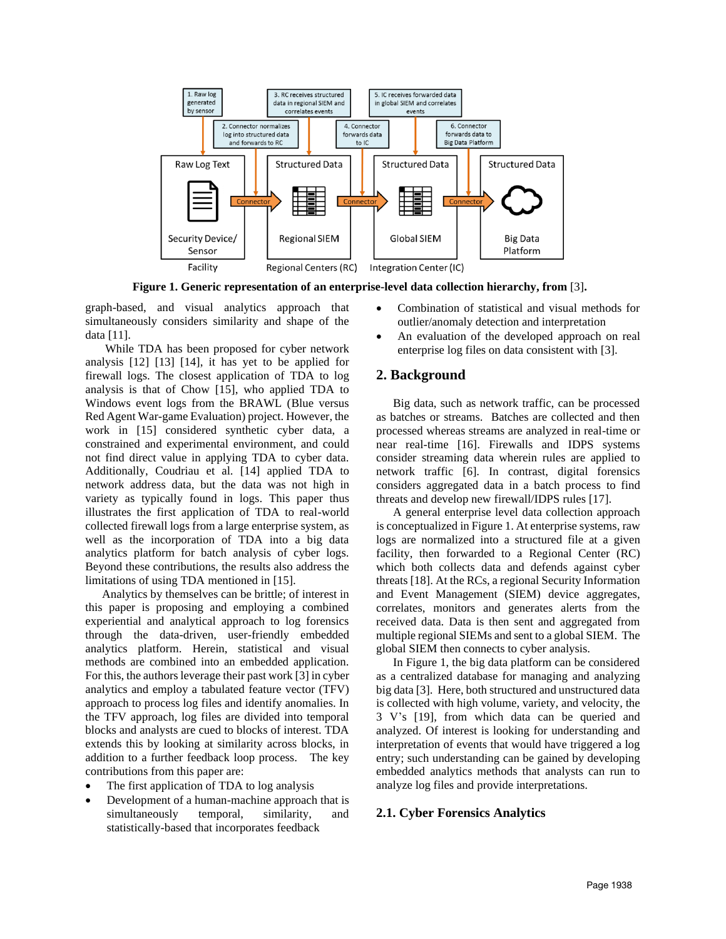

**Figure 1. Generic representation of an enterprise-level data collection hierarchy, from** [3]**.** 

graph-based, and visual analytics approach that simultaneously considers similarity and shape of the data [11].

While TDA has been proposed for cyber network analysis [12] [13] [14], it has yet to be applied for firewall logs. The closest application of TDA to log analysis is that of Chow [15], who applied TDA to Windows event logs from the BRAWL (Blue versus Red Agent War-game Evaluation) project. However, the work in [15] considered synthetic cyber data, a constrained and experimental environment, and could not find direct value in applying TDA to cyber data. Additionally, Coudriau et al. [14] applied TDA to network address data, but the data was not high in variety as typically found in logs. This paper thus illustrates the first application of TDA to real-world collected firewall logs from a large enterprise system, as well as the incorporation of TDA into a big data analytics platform for batch analysis of cyber logs. Beyond these contributions, the results also address the limitations of using TDA mentioned in [15].

Analytics by themselves can be brittle; of interest in this paper is proposing and employing a combined experiential and analytical approach to log forensics through the data-driven, user-friendly embedded analytics platform. Herein, statistical and visual methods are combined into an embedded application. For this, the authors leverage their past work [3] in cyber analytics and employ a tabulated feature vector (TFV) approach to process log files and identify anomalies. In the TFV approach, log files are divided into temporal blocks and analysts are cued to blocks of interest. TDA extends this by looking at similarity across blocks, in addition to a further feedback loop process. The key contributions from this paper are:

- The first application of TDA to log analysis
- Development of a human-machine approach that is simultaneously temporal, similarity, and statistically-based that incorporates feedback
- Combination of statistical and visual methods for outlier/anomaly detection and interpretation
- An evaluation of the developed approach on real enterprise log files on data consistent with [3].

# **2. Background**

Big data, such as network traffic, can be processed as batches or streams. Batches are collected and then processed whereas streams are analyzed in real-time or near real-time [16]. Firewalls and IDPS systems consider streaming data wherein rules are applied to network traffic [6]. In contrast, digital forensics considers aggregated data in a batch process to find threats and develop new firewall/IDPS rules [17].

A general enterprise level data collection approach is conceptualized in Figure 1. At enterprise systems, raw logs are normalized into a structured file at a given facility, then forwarded to a Regional Center (RC) which both collects data and defends against cyber threats [18]. At the RCs, a regional Security Information and Event Management (SIEM) device aggregates, correlates, monitors and generates alerts from the received data. Data is then sent and aggregated from multiple regional SIEMs and sent to a global SIEM. The global SIEM then connects to cyber analysis.

In Figure 1, the big data platform can be considered as a centralized database for managing and analyzing big data [3]. Here, both structured and unstructured data is collected with high volume, variety, and velocity, the 3 V's [19], from which data can be queried and analyzed. Of interest is looking for understanding and interpretation of events that would have triggered a log entry; such understanding can be gained by developing embedded analytics methods that analysts can run to analyze log files and provide interpretations.

# **2.1. Cyber Forensics Analytics**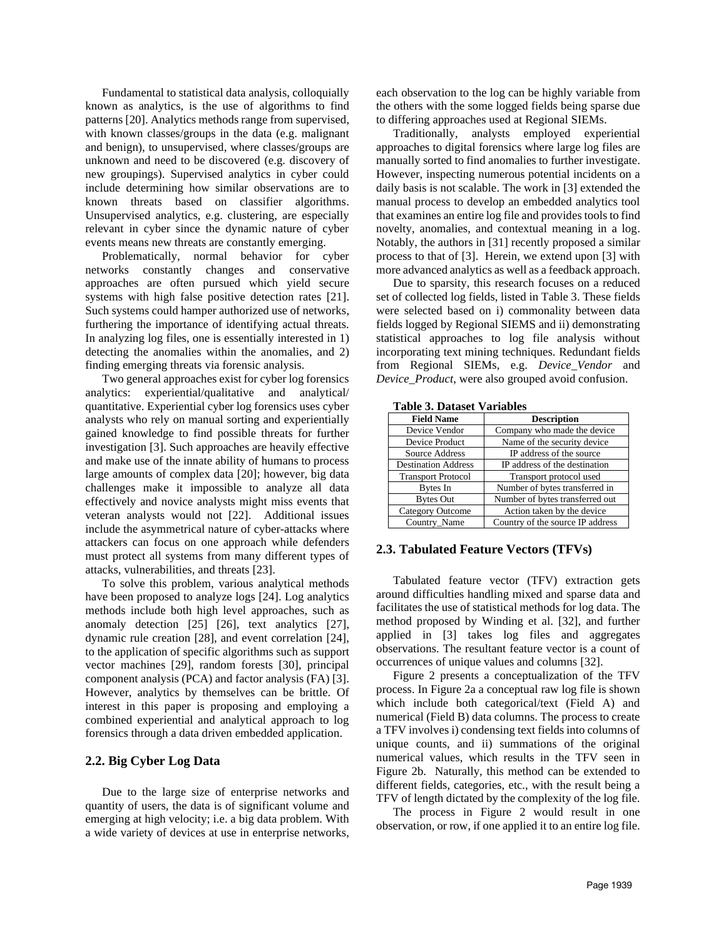Fundamental to statistical data analysis, colloquially known as analytics, is the use of algorithms to find patterns [20]. Analytics methods range from supervised, with known classes/groups in the data (e.g. malignant and benign), to unsupervised, where classes/groups are unknown and need to be discovered (e.g. discovery of new groupings). Supervised analytics in cyber could include determining how similar observations are to known threats based on classifier algorithms. Unsupervised analytics, e.g. clustering, are especially relevant in cyber since the dynamic nature of cyber events means new threats are constantly emerging.

Problematically, normal behavior for cyber networks constantly changes and conservative approaches are often pursued which yield secure systems with high false positive detection rates [21]. Such systems could hamper authorized use of networks, furthering the importance of identifying actual threats. In analyzing log files, one is essentially interested in 1) detecting the anomalies within the anomalies, and 2) finding emerging threats via forensic analysis.

Two general approaches exist for cyber log forensics analytics: experiential/qualitative and analytical/ quantitative. Experiential cyber log forensics uses cyber analysts who rely on manual sorting and experientially gained knowledge to find possible threats for further investigation [3]. Such approaches are heavily effective and make use of the innate ability of humans to process large amounts of complex data [20]; however, big data challenges make it impossible to analyze all data effectively and novice analysts might miss events that veteran analysts would not [22]. Additional issues include the asymmetrical nature of cyber-attacks where attackers can focus on one approach while defenders must protect all systems from many different types of attacks, vulnerabilities, and threats [23].

To solve this problem, various analytical methods have been proposed to analyze logs [24]. Log analytics methods include both high level approaches, such as anomaly detection [25] [26], text analytics [27], dynamic rule creation [28], and event correlation [24], to the application of specific algorithms such as support vector machines [29], random forests [30], principal component analysis (PCA) and factor analysis (FA) [3]. However, analytics by themselves can be brittle. Of interest in this paper is proposing and employing a combined experiential and analytical approach to log forensics through a data driven embedded application.

### **2.2. Big Cyber Log Data**

Due to the large size of enterprise networks and quantity of users, the data is of significant volume and emerging at high velocity; i.e. a big data problem. With a wide variety of devices at use in enterprise networks,

each observation to the log can be highly variable from the others with the some logged fields being sparse due to differing approaches used at Regional SIEMs.

Traditionally, analysts employed experiential approaches to digital forensics where large log files are manually sorted to find anomalies to further investigate. However, inspecting numerous potential incidents on a daily basis is not scalable. The work in [3] extended the manual process to develop an embedded analytics tool that examines an entire log file and provides tools to find novelty, anomalies, and contextual meaning in a log. Notably, the authors in [31] recently proposed a similar process to that of [3]. Herein, we extend upon [3] with more advanced analytics as well as a feedback approach.

Due to sparsity, this research focuses on a reduced set of collected log fields, listed in Table 3. These fields were selected based on i) commonality between data fields logged by Regional SIEMS and ii) demonstrating statistical approaches to log file analysis without incorporating text mining techniques. Redundant fields from Regional SIEMs, e.g. *Device\_Vendor* and *Device\_Product*, were also grouped avoid confusion.

| таріс э. Dauget у агіаріся |                                  |  |  |  |
|----------------------------|----------------------------------|--|--|--|
| <b>Field Name</b>          | <b>Description</b>               |  |  |  |
| Device Vendor              | Company who made the device      |  |  |  |
| Device Product             | Name of the security device      |  |  |  |
| Source Address             | IP address of the source         |  |  |  |
| <b>Destination Address</b> | IP address of the destination    |  |  |  |
| <b>Transport Protocol</b>  | Transport protocol used          |  |  |  |
| Bytes In                   | Number of bytes transferred in   |  |  |  |
| <b>Bytes Out</b>           | Number of bytes transferred out  |  |  |  |
| Category Outcome           | Action taken by the device       |  |  |  |
| Country Name               | Country of the source IP address |  |  |  |

**Table 3. Dataset Variables**

### **2.3. Tabulated Feature Vectors (TFVs)**

Tabulated feature vector (TFV) extraction gets around difficulties handling mixed and sparse data and facilitates the use of statistical methods for log data. The method proposed by Winding et al. [32], and further applied in [3] takes log files and aggregates observations. The resultant feature vector is a count of occurrences of unique values and columns [32].

Figure 2 presents a conceptualization of the TFV process. In Figure 2a a conceptual raw log file is shown which include both categorical/text (Field A) and numerical (Field B) data columns. The process to create a TFV involves i) condensing text fields into columns of unique counts, and ii) summations of the original numerical values, which results in the TFV seen in Figure 2b. Naturally, this method can be extended to different fields, categories, etc., with the result being a TFV of length dictated by the complexity of the log file.

The process in Figure 2 would result in one observation, or row, if one applied it to an entire log file.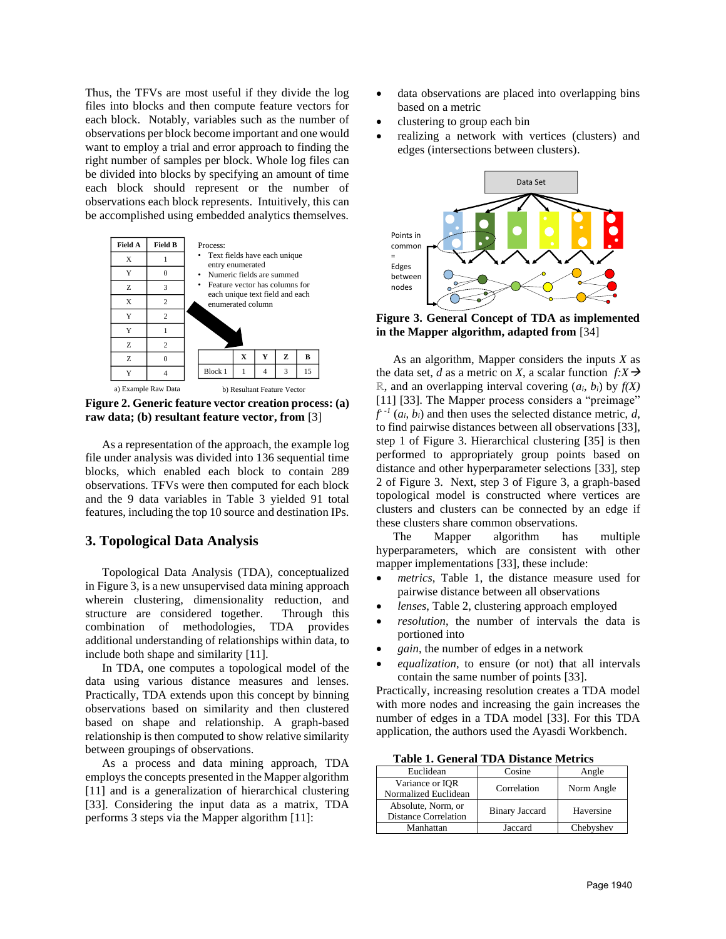Thus, the TFVs are most useful if they divide the log files into blocks and then compute feature vectors for each block. Notably, variables such as the number of observations per block become important and one would want to employ a trial and error approach to finding the right number of samples per block. Whole log files can be divided into blocks by specifying an amount of time each block should represent or the number of observations each block represents. Intuitively, this can be accomplished using embedded analytics themselves.



**Figure 2. Generic feature vector creation process: (a) raw data; (b) resultant feature vector, from** [3]

As a representation of the approach, the example log file under analysis was divided into 136 sequential time blocks, which enabled each block to contain 289 observations. TFVs were then computed for each block and the 9 data variables in Table 3 yielded 91 total features, including the top 10 source and destination IPs.

# **3. Topological Data Analysis**

Topological Data Analysis (TDA), conceptualized in Figure 3, is a new unsupervised data mining approach wherein clustering, dimensionality reduction, and structure are considered together. Through this combination of methodologies, TDA provides additional understanding of relationships within data, to include both shape and similarity [11].

In TDA, one computes a topological model of the data using various distance measures and lenses. Practically, TDA extends upon this concept by binning observations based on similarity and then clustered based on shape and relationship. A graph-based relationship is then computed to show relative similarity between groupings of observations.

As a process and data mining approach, TDA employs the concepts presented in the Mapper algorithm [11] and is a generalization of hierarchical clustering [33]. Considering the input data as a matrix, TDA performs 3 steps via the Mapper algorithm [11]:

- data observations are placed into overlapping bins based on a metric
- clustering to group each bin
- realizing a network with vertices (clusters) and edges (intersections between clusters).



**Figure 3. General Concept of TDA as implemented in the Mapper algorithm, adapted from** [34]

As an algorithm, Mapper considers the inputs *X* as the data set, *d* as a metric on *X*, a scalar function  $f: X \rightarrow$ *ℝ*, and an overlapping interval covering (*ai*, *bi*) by *f(X)* [11] [33]. The Mapper process considers a "preimage"  $f^{-1}(a_i, b_i)$  and then uses the selected distance metric, *d*, to find pairwise distances between all observations [33], step 1 of Figure 3. Hierarchical clustering [35] is then performed to appropriately group points based on distance and other hyperparameter selections [33], step 2 of Figure 3. Next, step 3 of Figure 3, a graph-based topological model is constructed where vertices are clusters and clusters can be connected by an edge if these clusters share common observations.

The Mapper algorithm has multiple hyperparameters, which are consistent with other mapper implementations [33], these include:

- metrics, Table 1, the distance measure used for pairwise distance between all observations
- *lenses*, Table 2, clustering approach employed
- resolution, the number of intervals the data is portioned into
- *gain*, the number of edges in a network
- *equalization*, to ensure (or not) that all intervals contain the same number of points [33].

Practically, increasing resolution creates a TDA model with more nodes and increasing the gain increases the number of edges in a TDA model [33]. For this TDA application, the authors used the Ayasdi Workbench.

**Table 1. General TDA Distance Metrics** 

| Euclidean                                         | Cosine                | Angle      |
|---------------------------------------------------|-----------------------|------------|
| Variance or IOR<br>Normalized Euclidean           | Correlation           | Norm Angle |
| Absolute, Norm, or<br><b>Distance Correlation</b> | <b>Binary Jaccard</b> | Haversine  |
| Manhattan                                         | Jaccard               | Chebyshev  |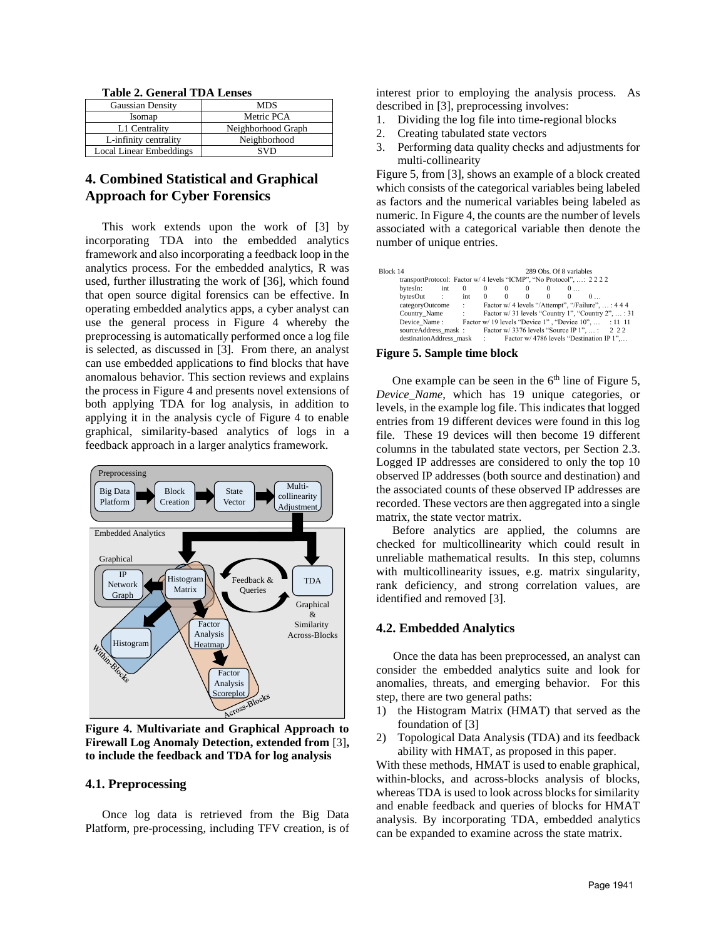**Table 2. General TDA Lenses** 

| <b>Gaussian Density</b>        | MDS                |
|--------------------------------|--------------------|
| Isomap                         | Metric PCA         |
| L1 Centrality                  | Neighborhood Graph |
| L-infinity centrality          | Neighborhood       |
| <b>Local Linear Embeddings</b> | SVD                |

# **4. Combined Statistical and Graphical Approach for Cyber Forensics**

This work extends upon the work of [3] by incorporating TDA into the embedded analytics framework and also incorporating a feedback loop in the analytics process. For the embedded analytics, R was used, further illustrating the work of [36], which found that open source digital forensics can be effective. In operating embedded analytics apps, a cyber analyst can use the general process in Figure 4 whereby the preprocessing is automatically performed once a log file is selected, as discussed in [3]. From there, an analyst can use embedded applications to find blocks that have anomalous behavior. This section reviews and explains the process in Figure 4 and presents novel extensions of both applying TDA for log analysis, in addition to applying it in the analysis cycle of Figure 4 to enable graphical, similarity-based analytics of logs in a feedback approach in a larger analytics framework.



**Figure 4. Multivariate and Graphical Approach to Firewall Log Anomaly Detection, extended from** [3]**, to include the feedback and TDA for log analysis**

## **4.1. Preprocessing**

Once log data is retrieved from the Big Data Platform, pre-processing, including TFV creation, is of interest prior to employing the analysis process. As described in [3], preprocessing involves:

- 1. Dividing the log file into time-regional blocks
- 2. Creating tabulated state vectors
- 3. Performing data quality checks and adjustments for multi-collinearity

Figure 5, from [3], shows an example of a block created which consists of the categorical variables being labeled as factors and the numerical variables being labeled as numeric. In Figure 4, the counts are the number of levels associated with a categorical variable then denote the number of unique entries.

| Block 14 |                                                                     |       |                   |              |          |                          |                | 289 Obs. Of 8 variables                          |   |                                                    |  |
|----------|---------------------------------------------------------------------|-------|-------------------|--------------|----------|--------------------------|----------------|--------------------------------------------------|---|----------------------------------------------------|--|
|          | transportProtocol: Factor w/ 4 levels "ICMP", "No Protocol", : 2222 |       |                   |              |          |                          |                |                                                  |   |                                                    |  |
|          | bytesIn:                                                            | int 0 |                   | $\mathbf{0}$ | $\theta$ | $\mathbf{0}$<br>$\sim$ 0 |                | 0                                                |   |                                                    |  |
|          | bytesOut :                                                          |       | $int \t 0 \t 0$   |              |          | $\overline{0}$           | $\overline{0}$ | $\Omega$                                         | 0 |                                                    |  |
|          | categoryOutcome                                                     |       | <b>Contractor</b> |              |          |                          |                | Factor w/ 4 levels "/Attempt", "/Failure", : 444 |   |                                                    |  |
|          | Country Name:                                                       |       |                   |              |          |                          |                |                                                  |   | Factor w/31 levels "Country 1", "Country 2",  : 31 |  |
|          | Device Name: Factor w/ 19 levels "Device 1", "Device 10",  : 11 11  |       |                   |              |          |                          |                |                                                  |   |                                                    |  |
|          | source Address mask : Factor w/ 3376 levels "Source IP 1",  : 2 2 2 |       |                   |              |          |                          |                |                                                  |   |                                                    |  |
|          | destination Address mask : Factor w/ 4786 levels "Destination IP 1" |       |                   |              |          |                          |                |                                                  |   |                                                    |  |

#### **Figure 5. Sample time block**

One example can be seen in the  $6<sup>th</sup>$  line of Figure 5, *Device\_Name*, which has 19 unique categories, or levels, in the example log file. This indicates that logged entries from 19 different devices were found in this log file. These 19 devices will then become 19 different columns in the tabulated state vectors, per Section 2.3. Logged IP addresses are considered to only the top 10 observed IP addresses (both source and destination) and the associated counts of these observed IP addresses are recorded. These vectors are then aggregated into a single matrix, the state vector matrix.

Before analytics are applied, the columns are checked for multicollinearity which could result in unreliable mathematical results. In this step, columns with multicollinearity issues, e.g. matrix singularity, rank deficiency, and strong correlation values, are identified and removed [3].

### **4.2. Embedded Analytics**

Once the data has been preprocessed, an analyst can consider the embedded analytics suite and look for anomalies, threats, and emerging behavior. For this step, there are two general paths:

- 1) the Histogram Matrix (HMAT) that served as the foundation of [3]
- 2) Topological Data Analysis (TDA) and its feedback ability with HMAT, as proposed in this paper.

With these methods, HMAT is used to enable graphical, within-blocks, and across-blocks analysis of blocks, whereas TDA is used to look across blocks for similarity and enable feedback and queries of blocks for HMAT analysis. By incorporating TDA, embedded analytics can be expanded to examine across the state matrix.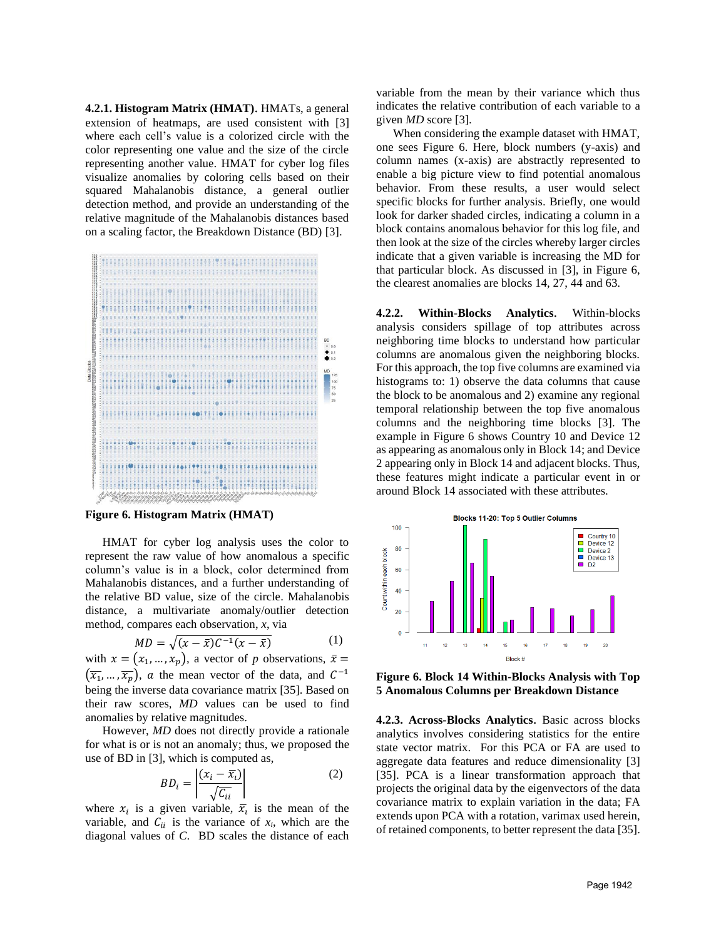**4.2.1. Histogram Matrix (HMAT)**. HMATs, a general extension of heatmaps, are used consistent with [3] where each cell's value is a colorized circle with the color representing one value and the size of the circle representing another value. HMAT for cyber log files visualize anomalies by coloring cells based on their squared Mahalanobis distance, a general outlier detection method, and provide an understanding of the relative magnitude of the Mahalanobis distances based on a scaling factor, the Breakdown Distance (BD) [3].



**Figure 6. Histogram Matrix (HMAT)**

HMAT for cyber log analysis uses the color to represent the raw value of how anomalous a specific column's value is in a block, color determined from Mahalanobis distances, and a further understanding of the relative BD value, size of the circle. Mahalanobis distance, a multivariate anomaly/outlier detection method, compares each observation, *x*, via

$$
MD = \sqrt{(x - \bar{x})(C^{-1}(x - \bar{x})}
$$
 (1)

with  $x = (x_1, ..., x_p)$ , a vector of p observations,  $\bar{x} =$  $(\overline{x_1}, \ldots, \overline{x_p})$ , a the mean vector of the data, and  $C^{-1}$ being the inverse data covariance matrix [35]. Based on their raw scores, *MD* values can be used to find anomalies by relative magnitudes.

However, *MD* does not directly provide a rationale for what is or is not an anomaly; thus, we proposed the use of BD in [3], which is computed as,

$$
BD_i = \left| \frac{(x_i - \overline{x_i})}{\sqrt{C_{ii}}} \right| \tag{2}
$$

where  $x_i$  is a given variable,  $\overline{x}_i$  is the mean of the variable, and  $C_{ii}$  is the variance of  $x_i$ , which are the diagonal values of *C*. BD scales the distance of each

variable from the mean by their variance which thus indicates the relative contribution of each variable to a given *MD* score [3].

When considering the example dataset with HMAT, one sees Figure 6. Here, block numbers (y-axis) and column names (x-axis) are abstractly represented to enable a big picture view to find potential anomalous behavior. From these results, a user would select specific blocks for further analysis. Briefly, one would look for darker shaded circles, indicating a column in a block contains anomalous behavior for this log file, and then look at the size of the circles whereby larger circles indicate that a given variable is increasing the MD for that particular block. As discussed in [3], in Figure 6, the clearest anomalies are blocks 14, 27, 44 and 63.

**4.2.2. Within-Blocks Analytics**. Within-blocks analysis considers spillage of top attributes across neighboring time blocks to understand how particular columns are anomalous given the neighboring blocks. For this approach, the top five columns are examined via histograms to: 1) observe the data columns that cause the block to be anomalous and 2) examine any regional temporal relationship between the top five anomalous columns and the neighboring time blocks [3]. The example in Figure 6 shows Country 10 and Device 12 as appearing as anomalous only in Block 14; and Device 2 appearing only in Block 14 and adjacent blocks. Thus, these features might indicate a particular event in or around Block 14 associated with these attributes.



**Figure 6. Block 14 Within-Blocks Analysis with Top 5 Anomalous Columns per Breakdown Distance**

**4.2.3. Across-Blocks Analytics**. Basic across blocks analytics involves considering statistics for the entire state vector matrix. For this PCA or FA are used to aggregate data features and reduce dimensionality [3] [35]. PCA is a linear transformation approach that projects the original data by the eigenvectors of the data covariance matrix to explain variation in the data; FA extends upon PCA with a rotation, varimax used herein, of retained components, to better represent the data [35].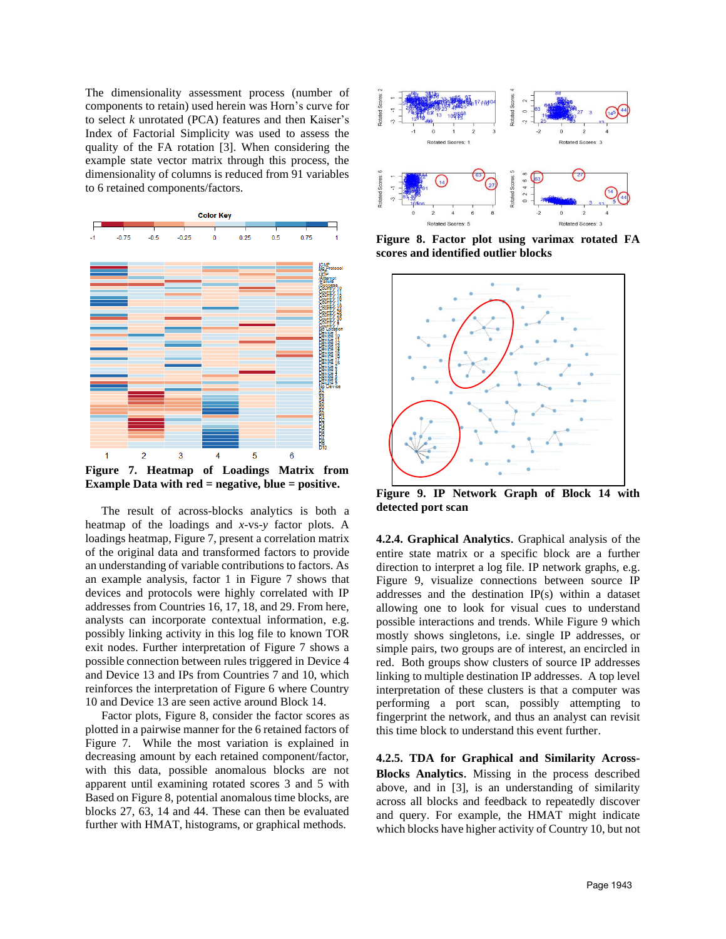The dimensionality assessment process (number of components to retain) used herein was Horn's curve for to select *k* unrotated (PCA) features and then Kaiser's Index of Factorial Simplicity was used to assess the quality of the FA rotation [3]. When considering the example state vector matrix through this process, the dimensionality of columns is reduced from 91 variables to 6 retained components/factors.



**Figure 7. Heatmap of Loadings Matrix from Example Data with red = negative, blue = positive.**

The result of across-blocks analytics is both a heatmap of the loadings and *x-*vs-*y* factor plots. A loadings heatmap, Figure 7, present a correlation matrix of the original data and transformed factors to provide an understanding of variable contributions to factors. As an example analysis, factor 1 in Figure 7 shows that devices and protocols were highly correlated with IP addresses from Countries 16, 17, 18, and 29. From here, analysts can incorporate contextual information, e.g. possibly linking activity in this log file to known TOR exit nodes. Further interpretation of Figure 7 shows a possible connection between rules triggered in Device 4 and Device 13 and IPs from Countries 7 and 10, which reinforces the interpretation of Figure 6 where Country 10 and Device 13 are seen active around Block 14.

Factor plots, Figure 8, consider the factor scores as plotted in a pairwise manner for the 6 retained factors of Figure 7. While the most variation is explained in decreasing amount by each retained component/factor, with this data, possible anomalous blocks are not apparent until examining rotated scores 3 and 5 with Based on Figure 8, potential anomalous time blocks, are blocks 27, 63, 14 and 44. These can then be evaluated further with HMAT, histograms, or graphical methods.



**Figure 8. Factor plot using varimax rotated FA scores and identified outlier blocks**



**Figure 9. IP Network Graph of Block 14 with detected port scan**

**4.2.4. Graphical Analytics**. Graphical analysis of the entire state matrix or a specific block are a further direction to interpret a log file. IP network graphs, e.g. Figure 9, visualize connections between source IP addresses and the destination IP(s) within a dataset allowing one to look for visual cues to understand possible interactions and trends. While Figure 9 which mostly shows singletons, i.e. single IP addresses, or simple pairs, two groups are of interest, an encircled in red. Both groups show clusters of source IP addresses linking to multiple destination IP addresses. A top level interpretation of these clusters is that a computer was performing a port scan, possibly attempting to fingerprint the network, and thus an analyst can revisit this time block to understand this event further.

**4.2.5. TDA for Graphical and Similarity Across-Blocks Analytics**. Missing in the process described above, and in [3], is an understanding of similarity across all blocks and feedback to repeatedly discover and query. For example, the HMAT might indicate which blocks have higher activity of Country 10, but not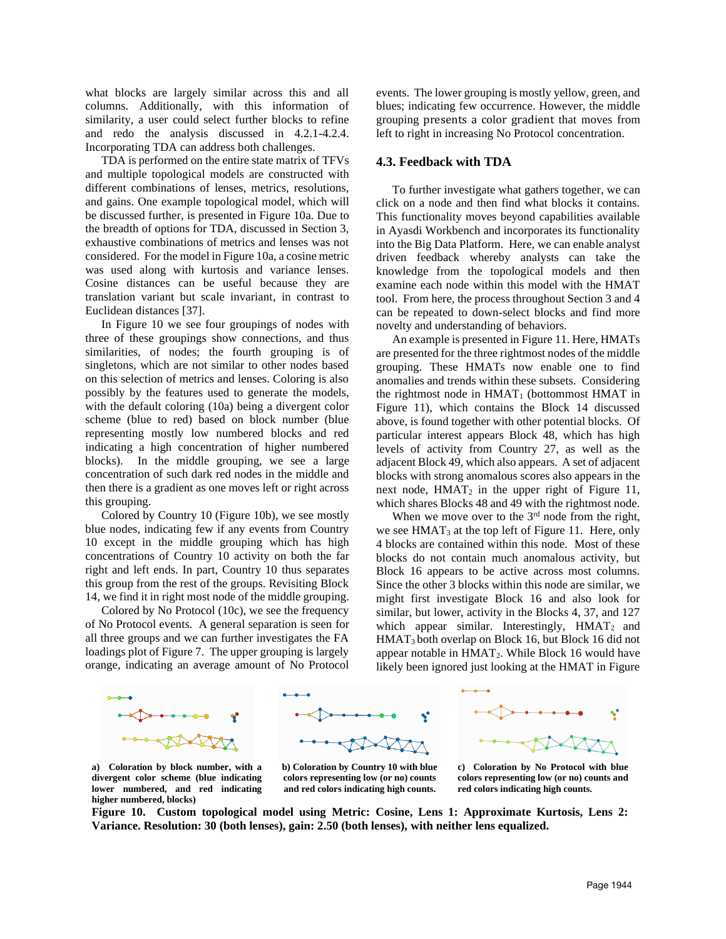what blocks are largely similar across this and all columns. Additionally, with this information of similarity, a user could select further blocks to refine and redo the analysis discussed in 4.2.1-4.2.4. Incorporating TDA can address both challenges.

TDA is performed on the entire state matrix of TFVs and multiple topological models are constructed with different combinations of lenses, metrics, resolutions, and gains. One example topological model, which will be discussed further, is presented in Figure 10a. Due to the breadth of options for TDA, discussed in Section 3, exhaustive combinations of metrics and lenses was not considered. For the model in Figure 10a, a cosine metric was used along with kurtosis and variance lenses. Cosine distances can be useful because they are translation variant but scale invariant, in contrast to Euclidean distances [37].

In Figure 10 we see four groupings of nodes with three of these groupings show connections, and thus similarities, of nodes; the fourth grouping is of singletons, which are not similar to other nodes based on this selection of metrics and lenses. Coloring is also possibly by the features used to generate the models, with the default coloring (10a) being a divergent color scheme (blue to red) based on block number (blue representing mostly low numbered blocks and red indicating a high concentration of higher numbered blocks). In the middle grouping, we see a large concentration of such dark red nodes in the middle and then there is a gradient as one moves left or right across this grouping.

Colored by Country 10 (Figure 10b), we see mostly blue nodes, indicating few if any events from Country 10 except in the middle grouping which has high concentrations of Country 10 activity on both the far right and left ends. In part, Country 10 thus separates this group from the rest of the groups. Revisiting Block 14, we find it in right most node of the middle grouping.

Colored by No Protocol (10c), we see the frequency of No Protocol events. A general separation is seen for all three groups and we can further investigates the FA loadings plot of Figure 7. The upper grouping is largely orange, indicating an average amount of No Protocol

events. The lower grouping is mostly yellow, green, and blues; indicating few occurrence. However, the middle grouping presents a color gradient that moves from left to right in increasing No Protocol concentration.

### **4.3. Feedback with TDA**

To further investigate what gathers together, we can click on a node and then find what blocks it contains. This functionality moves beyond capabilities available in Ayasdi Workbench and incorporates its functionality into the Big Data Platform. Here, we can enable analyst driven feedback whereby analysts can take the knowledge from the topological models and then examine each node within this model with the HMAT tool. From here, the process throughout Section 3 and 4 can be repeated to down-select blocks and find more novelty and understanding of behaviors.

An example is presented in Figure 11. Here, HMATs are presented for the three rightmost nodes of the middle grouping. These HMATs now enable one to find anomalies and trends within these subsets. Considering the rightmost node in  $HMAT_1$  (bottommost  $HMAT$  in Figure 11), which contains the Block 14 discussed above, is found together with other potential blocks. Of particular interest appears Block 48, which has high levels of activity from Country 27, as well as the adjacent Block 49, which also appears. A set of adjacent blocks with strong anomalous scores also appears in the next node,  $HMAT_2$  in the upper right of Figure 11, which shares Blocks 48 and 49 with the rightmost node.

When we move over to the  $3<sup>rd</sup>$  node from the right, we see  $HMAT_3$  at the top left of Figure 11. Here, only 4 blocks are contained within this node. Most of these blocks do not contain much anomalous activity, but Block 16 appears to be active across most columns. Since the other 3 blocks within this node are similar, we might first investigate Block 16 and also look for similar, but lower, activity in the Blocks 4, 37, and 127 which appear similar. Interestingly,  $HMAT_2$  and HMAT3 both overlap on Block 16, but Block 16 did not appear notable in  $HMAT_2$ . While Block 16 would have likely been ignored just looking at the HMAT in Figure



**a) Coloration by block number, with a divergent color scheme (blue indicating lower numbered, and red indicating higher numbered, blocks)**

**b) Coloration by Country 10 with blue colors representing low (or no) counts and red colors indicating high counts.**

**c) Coloration by No Protocol with blue colors representing low (or no) counts and red colors indicating high counts.** 

**Figure 10. Custom topological model using Metric: Cosine, Lens 1: Approximate Kurtosis, Lens 2: Variance. Resolution: 30 (both lenses), gain: 2.50 (both lenses), with neither lens equalized.**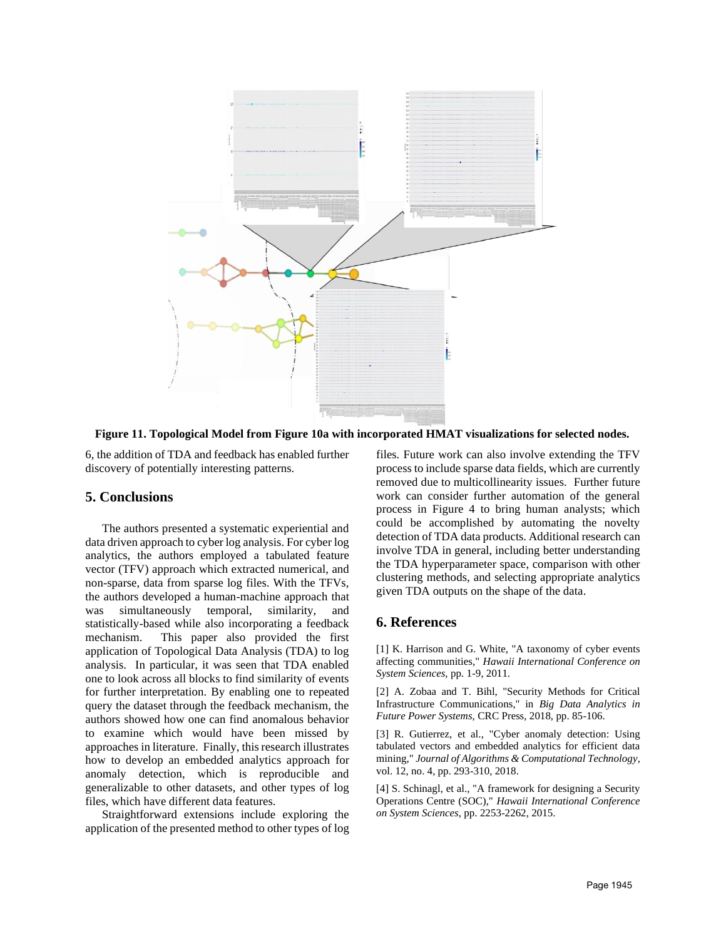

**Figure 11. Topological Model from Figure 10a with incorporated HMAT visualizations for selected nodes.**

6, the addition of TDA and feedback has enabled further discovery of potentially interesting patterns.

# **5. Conclusions**

The authors presented a systematic experiential and data driven approach to cyber log analysis. For cyber log analytics, the authors employed a tabulated feature vector (TFV) approach which extracted numerical, and non-sparse, data from sparse log files. With the TFVs, the authors developed a human-machine approach that was simultaneously temporal, similarity, and statistically-based while also incorporating a feedback mechanism. This paper also provided the first application of Topological Data Analysis (TDA) to log analysis. In particular, it was seen that TDA enabled one to look across all blocks to find similarity of events for further interpretation. By enabling one to repeated query the dataset through the feedback mechanism, the authors showed how one can find anomalous behavior to examine which would have been missed by approaches in literature. Finally, this research illustrates how to develop an embedded analytics approach for anomaly detection, which is reproducible and generalizable to other datasets, and other types of log files, which have different data features.

Straightforward extensions include exploring the application of the presented method to other types of log

files. Future work can also involve extending the TFV process to include sparse data fields, which are currently removed due to multicollinearity issues. Further future work can consider further automation of the general process in Figure 4 to bring human analysts; which could be accomplished by automating the novelty detection of TDA data products. Additional research can involve TDA in general, including better understanding the TDA hyperparameter space, comparison with other clustering methods, and selecting appropriate analytics given TDA outputs on the shape of the data.

# **6. References**

[1] K. Harrison and G. White, "A taxonomy of cyber events affecting communities," *Hawaii International Conference on System Sciences*, pp. 1-9, 2011.

[2] A. Zobaa and T. Bihl, "Security Methods for Critical Infrastructure Communications," in *Big Data Analytics in Future Power Systems*, CRC Press, 2018, pp. 85-106.

[3] R. Gutierrez, et al., "Cyber anomaly detection: Using tabulated vectors and embedded analytics for efficient data mining," *Journal of Algorithms & Computational Technology*, vol. 12, no. 4, pp. 293-310, 2018.

[4] S. Schinagl, et al., "A framework for designing a Security Operations Centre (SOC)," *Hawaii International Conference on System Sciences*, pp. 2253-2262, 2015.